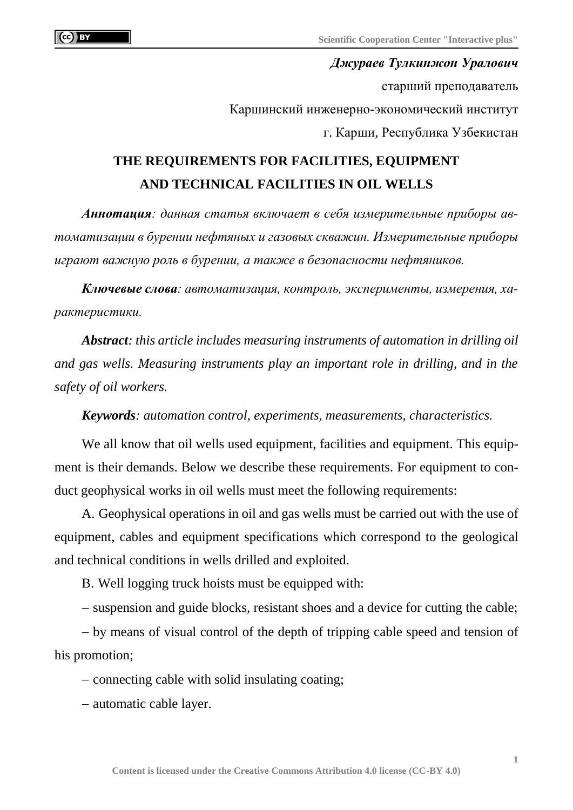*Джураев Тулкинжон Уралович* старший преподаватель Каршинский инженерно-экономический институт г. Карши, Республика Узбекистан

## **THE REQUIREMENTS FOR FACILITIES, EQUIPMENT AND TECHNICAL FACILITIES IN OIL WELLS**

*Аннотация: данная статья включает в себя измерительные приборы автоматизации в бурении нефтяных и газовых скважин. Измерительные приборы играют важную роль в бурении, а также в безопасности нефтяников.*

*Ключевые слова: автоматизация, контроль, эксперименты, измерения, характеристики.*

*Abstract: this article includes measuring instruments of automation in drilling oil and gas wells. Measuring instruments play an important role in drilling, and in the safety of oil workers.*

*Keywords: automation control, experiments, measurements, characteristics.*

We all know that oil wells used equipment, facilities and equipment. This equipment is their demands. Below we describe these requirements. For equipment to conduct geophysical works in oil wells must meet the following requirements:

A. Geophysical operations in oil and gas wells must be carried out with the use of equipment, cables and equipment specifications which correspond to the geological and technical conditions in wells drilled and exploited.

B. Well logging truck hoists must be equipped with:

− suspension and guide blocks, resistant shoes and a device for cutting the cable;

− by means of visual control of the depth of tripping cable speed and tension of his promotion;

− connecting cable with solid insulating coating;

− automatic cable layer.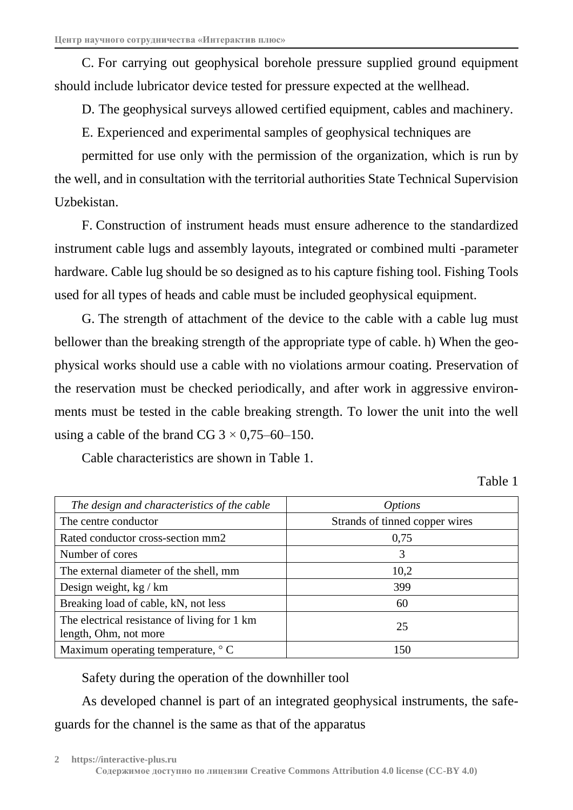C. For carrying out geophysical borehole pressure supplied ground equipment should include lubricator device tested for pressure expected at the wellhead.

D. The geophysical surveys allowed certified equipment, cables and machinery.

E. Experienced and experimental samples of geophysical techniques are

permitted for use only with the permission of the organization, which is run by the well, and in consultation with the territorial authorities State Technical Supervision Uzbekistan.

F. Construction of instrument heads must ensure adherence to the standardized instrument cable lugs and assembly layouts, integrated or combined multi -parameter hardware. Cable lug should be so designed as to his capture fishing tool. Fishing Tools used for all types of heads and cable must be included geophysical equipment.

G. The strength of attachment of the device to the cable with a cable lug must bellower than the breaking strength of the appropriate type of cable. h) When the geophysical works should use a cable with no violations armour coating. Preservation of the reservation must be checked periodically, and after work in aggressive environments must be tested in the cable breaking strength. To lower the unit into the well using a cable of the brand CG  $3 \times 0.75 - 60 - 150$ .

Cable characteristics are shown in Table 1.

Table 1

| The design and characteristics of the cable                           | <i>Options</i>                 |
|-----------------------------------------------------------------------|--------------------------------|
| The centre conductor                                                  | Strands of tinned copper wires |
| Rated conductor cross-section mm2                                     | 0,75                           |
| Number of cores                                                       | 3                              |
| The external diameter of the shell, mm                                | 10,2                           |
| Design weight, $kg/km$                                                | 399                            |
| Breaking load of cable, kN, not less                                  | 60                             |
| The electrical resistance of living for 1 km<br>length, Ohm, not more | 25                             |
| Maximum operating temperature, $\degree$ C                            | 150                            |

Safety during the operation of the downhiller tool

As developed channel is part of an integrated geophysical instruments, the safeguards for the channel is the same as that of the apparatus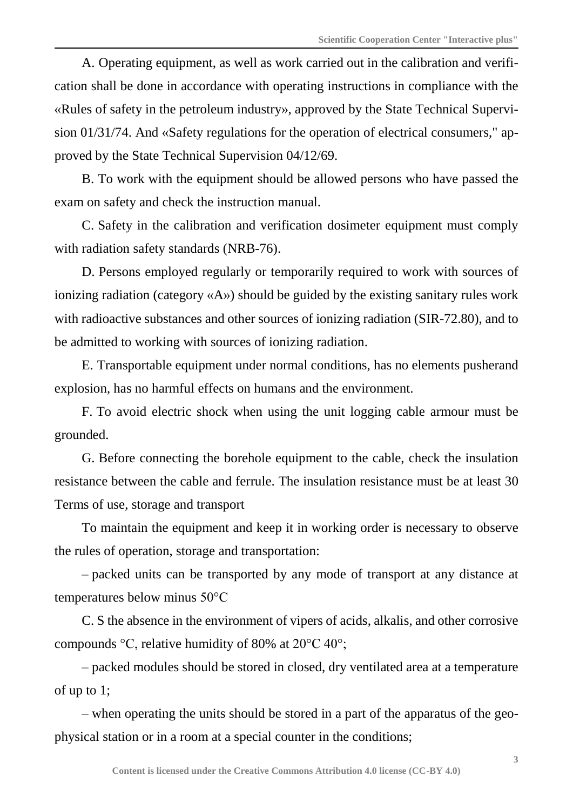A. Operating equipment, as well as work carried out in the calibration and verification shall be done in accordance with operating instructions in compliance with the «Rules of safety in the petroleum industry», approved by the State Technical Supervision 01/31/74. And «Safety regulations for the operation of electrical consumers," approved by the State Technical Supervision 04/12/69.

B. To work with the equipment should be allowed persons who have passed the exam on safety and check the instruction manual.

C. Safety in the calibration and verification dosimeter equipment must comply with radiation safety standards (NRB-76).

D. Persons employed regularly or temporarily required to work with sources of ionizing radiation (category «A») should be guided by the existing sanitary rules work with radioactive substances and other sources of ionizing radiation (SIR-72.80), and to be admitted to working with sources of ionizing radiation.

E. Transportable equipment under normal conditions, has no elements pusherand explosion, has no harmful effects on humans and the environment.

F. To avoid electric shock when using the unit logging cable armour must be grounded.

G. Before connecting the borehole equipment to the cable, check the insulation resistance between the cable and ferrule. The insulation resistance must be at least 30 Terms of use, storage and transport

To maintain the equipment and keep it in working order is necessary to observe the rules of operation, storage and transportation:

– packed units can be transported by any mode of transport at any distance at temperatures below minus 50°C

C. S the absence in the environment of vipers of acids, alkalis, and other corrosive compounds °C, relative humidity of 80% at 20°C 40°;

– packed modules should be stored in closed, dry ventilated area at a temperature of up to 1;

– when operating the units should be stored in a part of the apparatus of the geophysical station or in a room at a special counter in the conditions;